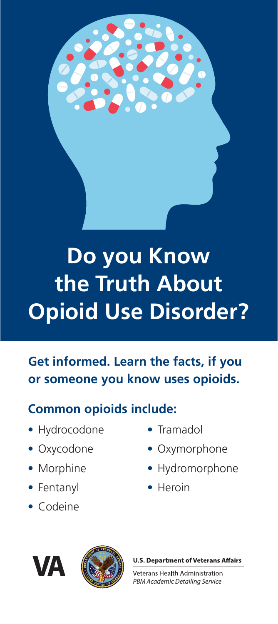

# **Do you Know the Truth About Opioid Use Disorder?**

## **Get informed. Learn the facts, if you or someone you know uses opioids.**

### **Common opioids include:**

- Hydrocodone
- Oxycodone
- Morphine
- Fentanyl
- Codeine
- Tramadol
- Oxymorphone
- Hydromorphone
- Heroin



**U.S. Department of Veterans Affairs** 

**Veterans Health Administration** PBM Academic Detailing Service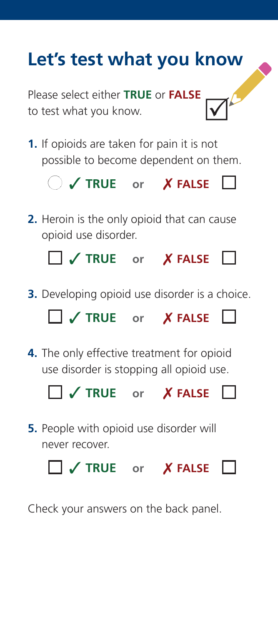# **Let's test what you know**

Please select either **TRUE** or **FALSE** to test what you know.

**1.** If opioids are taken for pain it is not possible to become dependent on them.



**2.** Heroin is the only opioid that can cause opioid use disorder.

```
 3 TRUE or 7 FALSE
```
**3.** Developing opioid use disorder is a choice.



**4.** The only effective treatment for opioid use disorder is stopping all opioid use.



**5.** People with opioid use disorder will never recover.

3 **TRUE or** 7 **FALSE**

Check your answers on the back panel.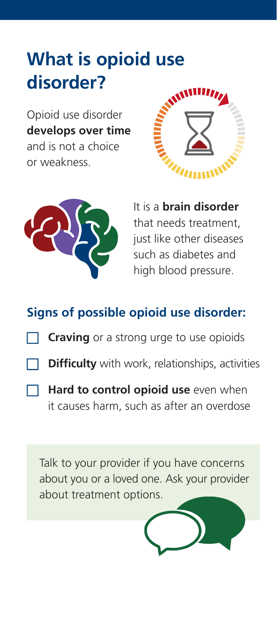# **What is opioid use disorder?**

Opioid use disorder **develops over time** and is not a choice or weakness.





It is a **brain disorder** that needs treatment, just like other diseases such as diabetes and high blood pressure.

### **Signs of possible opioid use disorder:**

- **Craving** or a strong urge to use opioids
- **Difficulty** with work, relationships, activities
- **Hard to control opioid use** even when it causes harm, such as after an overdose

Talk to your provider if you have concerns about you or a loved one. Ask your provider about treatment options.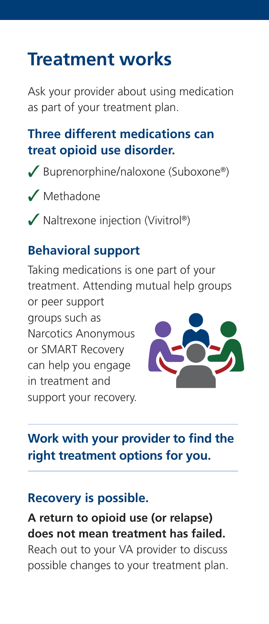# **Treatment works**

Ask your provider about using medication as part of your treatment plan.

### **Three different medications can treat opioid use disorder.**

- $\sqrt{\frac{3}{2}}$  Buprenorphine/naloxone (Suboxone®)
- $\sqrt{\phantom{a}}$  Methadone
- $\blacktriangledown$  Naltrexone injection (Vivitrol®)

#### **Behavioral support**

Taking medications is one part of your treatment. Attending mutual help groups or peer support

groups such as Narcotics Anonymous or SMART Recovery can help you engage in treatment and support your recovery.



### **Work with your provider to find the right treatment options for you.**

#### **Recovery is possible.**

**A return to opioid use (or relapse) does not mean treatment has failed.** Reach out to your VA provider to discuss possible changes to your treatment plan.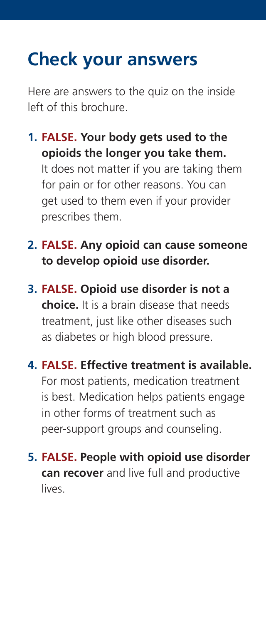# **Check your answers**

Here are answers to the quiz on the inside left of this brochure.

- **1. FALSE. Your body gets used to the opioids the longer you take them.** It does not matter if you are taking them for pain or for other reasons. You can get used to them even if your provider prescribes them.
- **2. FALSE. Any opioid can cause someone to develop opioid use disorder.**
- **3. FALSE. Opioid use disorder is not a choice.** It is a brain disease that needs treatment, just like other diseases such as diabetes or high blood pressure.
- **4. FALSE. Effective treatment is available.** For most patients, medication treatment is best. Medication helps patients engage in other forms of treatment such as peer-support groups and counseling.
- **5. FALSE. People with opioid use disorder can recover** and live full and productive lives.